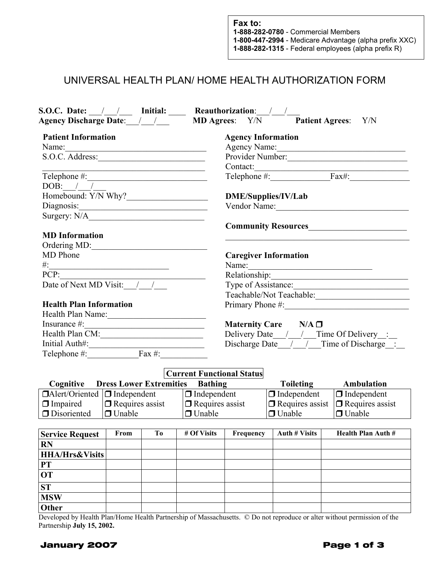## UNIVERSAL HEALTH PLAN/ HOME HEALTH AUTHORIZATION FORM

| S.O.C. Date: $\frac{1}{\sqrt{1-\frac{1}{2}}}$ Initial: Reauthorization: $\frac{1}{\sqrt{1-\frac{1}{2}}}$<br>Agency Discharge Date: / / MD Agrees: Y/N Patient Agrees: Y/N |               |                                                                                           |                                         |                                                                            |                      |                                                                |  |  |
|---------------------------------------------------------------------------------------------------------------------------------------------------------------------------|---------------|-------------------------------------------------------------------------------------------|-----------------------------------------|----------------------------------------------------------------------------|----------------------|----------------------------------------------------------------|--|--|
| <b>Patient Information</b>                                                                                                                                                |               |                                                                                           |                                         | <b>Agency Information</b>                                                  |                      |                                                                |  |  |
| Name:                                                                                                                                                                     |               |                                                                                           |                                         |                                                                            |                      | Agency Name:                                                   |  |  |
| S.O.C. Address:                                                                                                                                                           |               |                                                                                           |                                         |                                                                            |                      | Provider Number:                                               |  |  |
|                                                                                                                                                                           |               | the control of the control of the control of the control of the control of the control of |                                         |                                                                            |                      |                                                                |  |  |
|                                                                                                                                                                           |               |                                                                                           |                                         |                                                                            |                      |                                                                |  |  |
| DOB: $/$ /                                                                                                                                                                |               |                                                                                           |                                         |                                                                            |                      |                                                                |  |  |
| Homebound: Y/N Why?                                                                                                                                                       |               |                                                                                           |                                         | <b>DME/Supplies/IV/Lab</b>                                                 |                      |                                                                |  |  |
|                                                                                                                                                                           |               |                                                                                           |                                         |                                                                            |                      | Vendor Name:                                                   |  |  |
|                                                                                                                                                                           |               |                                                                                           |                                         |                                                                            |                      |                                                                |  |  |
|                                                                                                                                                                           |               |                                                                                           |                                         |                                                                            |                      |                                                                |  |  |
| <b>MD</b> Information                                                                                                                                                     |               |                                                                                           |                                         |                                                                            |                      |                                                                |  |  |
| Ordering MD:                                                                                                                                                              |               |                                                                                           |                                         |                                                                            |                      |                                                                |  |  |
| MD Phone                                                                                                                                                                  |               |                                                                                           |                                         | <b>Caregiver Information</b>                                               |                      |                                                                |  |  |
| $\#:\_$                                                                                                                                                                   |               |                                                                                           |                                         |                                                                            |                      | Name:                                                          |  |  |
| PCP:<br>Date of Next MD Visit: $\frac{1}{\sqrt{1-\frac{1}{2}}}$                                                                                                           |               |                                                                                           |                                         |                                                                            |                      | Relationship:                                                  |  |  |
|                                                                                                                                                                           |               |                                                                                           |                                         | Type of Assistance:                                                        |                      |                                                                |  |  |
|                                                                                                                                                                           |               |                                                                                           |                                         | Teachable/Not Teachable:                                                   |                      |                                                                |  |  |
| <b>Health Plan Information</b>                                                                                                                                            |               |                                                                                           |                                         |                                                                            |                      |                                                                |  |  |
| Health Plan Name:                                                                                                                                                         |               |                                                                                           |                                         |                                                                            |                      |                                                                |  |  |
| Insurance $\#$ :                                                                                                                                                          |               |                                                                                           |                                         | Maternity Care $N/A$ $\square$<br>Delivery Date / / / Time Of Delivery __: |                      |                                                                |  |  |
| Health Plan CM:                                                                                                                                                           |               |                                                                                           |                                         |                                                                            |                      |                                                                |  |  |
|                                                                                                                                                                           |               |                                                                                           |                                         |                                                                            |                      | Discharge Date $\frac{1}{2}$ / Time of Discharge :             |  |  |
|                                                                                                                                                                           |               |                                                                                           |                                         |                                                                            |                      |                                                                |  |  |
|                                                                                                                                                                           |               |                                                                                           |                                         |                                                                            |                      |                                                                |  |  |
|                                                                                                                                                                           |               |                                                                                           | <b>Current Functional Status</b>        |                                                                            |                      | <b>Ambulation</b>                                              |  |  |
| <b>Cognitive Dress Lower Extremities Bathing</b><br>$\Box$ Alert/Oriented $\Box$ Independent                                                                              |               |                                                                                           |                                         |                                                                            | <b>Toileting</b>     |                                                                |  |  |
| $\Box$ Impaired                                                                                                                                                           |               | $\Box$ Requires assist                                                                    | $\Box$ Independent                      |                                                                            |                      | $\Box$ Independent $\Box$ Independent                          |  |  |
| $\Box$ Disoriented                                                                                                                                                        | $\Box$ Unable |                                                                                           | $\Box$ Requires assist<br>$\Box$ Unable |                                                                            | $\Box$ Unable        | $\Box$ Requires assist $\Box$ Requires assist<br>$\Box$ Unable |  |  |
|                                                                                                                                                                           |               |                                                                                           |                                         |                                                                            |                      |                                                                |  |  |
| <b>Service Request</b>                                                                                                                                                    | From          | T <sub>0</sub>                                                                            | # Of Visits                             | Frequency                                                                  | <b>Auth # Visits</b> | <b>Health Plan Auth #</b>                                      |  |  |
| <b>RN</b>                                                                                                                                                                 |               |                                                                                           |                                         |                                                                            |                      |                                                                |  |  |
| <b>HHA/Hrs&amp;Visits</b>                                                                                                                                                 |               |                                                                                           |                                         |                                                                            |                      |                                                                |  |  |
| <b>PT</b>                                                                                                                                                                 |               |                                                                                           |                                         |                                                                            |                      |                                                                |  |  |
| <b>OT</b>                                                                                                                                                                 |               |                                                                                           |                                         |                                                                            |                      |                                                                |  |  |
| ST                                                                                                                                                                        |               |                                                                                           |                                         |                                                                            |                      |                                                                |  |  |
| <b>MSW</b>                                                                                                                                                                |               |                                                                                           |                                         |                                                                            |                      |                                                                |  |  |
| Other                                                                                                                                                                     |               |                                                                                           |                                         |                                                                            |                      |                                                                |  |  |
|                                                                                                                                                                           |               |                                                                                           |                                         |                                                                            |                      |                                                                |  |  |

Developed by Health Plan/Home Health Partnership of Massachusetts. © Do not reproduce or alter without permission of the Partnership **July 15, 2002.** 

## **January 2007 Page 1 of 3**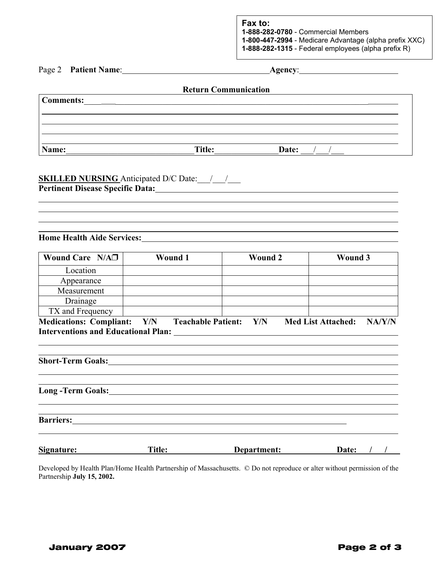| Page 2<br><b>Patient Name:</b> |  |  |  |
|--------------------------------|--|--|--|
|--------------------------------|--|--|--|

Page 2 **Patient Name**: **Agency**:

|           | <b>Return Communication</b> |       |  |
|-----------|-----------------------------|-------|--|
| Comments: |                             |       |  |
|           |                             |       |  |
|           |                             |       |  |
|           |                             |       |  |
| Name:     | <b>Title:</b>               | Date: |  |

## **SKILLED NURSING** Anticipated D/C Date: \_\_\_/\_\_\_/\_\_\_ **Pertinent Disease Specific Data:**

**Home Health Aide Services:**

l  $\overline{a}$ 

| Wound Care $N/A\square$                                                      | <b>Wound 1</b> |                           | <b>Wound 2</b> | <b>Wound 3</b>            |        |
|------------------------------------------------------------------------------|----------------|---------------------------|----------------|---------------------------|--------|
| Location                                                                     |                |                           |                |                           |        |
| Appearance                                                                   |                |                           |                |                           |        |
| Measurement                                                                  |                |                           |                |                           |        |
| Drainage                                                                     |                |                           |                |                           |        |
| TX and Frequency                                                             |                |                           |                |                           |        |
| <b>Medications: Compliant:</b><br><b>Interventions and Educational Plan:</b> | Y/N            | <b>Teachable Patient:</b> | Y/N            | <b>Med List Attached:</b> | NA/Y/N |

,我们也不会有什么。""我们的人,我们也不会有什么?""我们的人,我们也不会有什么?""我们的人,我们也不会有什么?""我们的人,我们也不会有什么?""我们的人

**Short-Term Goals:**

**Long -Term Goals:**

**Barriers:**

 $\overline{a}$ 

| Signature: | <b>Title:</b> | Department: | <b>Date:</b> |
|------------|---------------|-------------|--------------|
|            |               |             |              |

Developed by Health Plan/Home Health Partnership of Massachusetts. © Do not reproduce or alter without permission of the Partnership **July 15, 2002.**